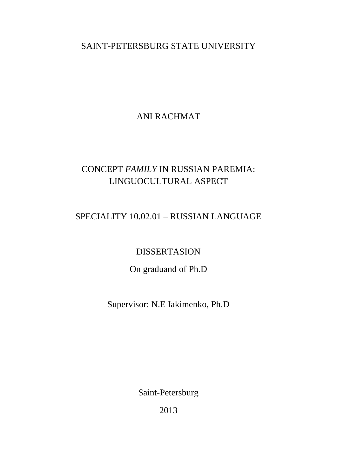SAINT-PETERSBURG STATE UNIVERSITY

ANI RACHMAT

# CONCEPT *FAMILY* IN RUSSIAN PAREMIA: LINGUOCULTURAL ASPECT

### SPECIALITY 10.02.01 – RUSSIAN LANGUAGE

## DISSERTASION

### On graduand of Ph.D

Supervisor: N.E Iakimenko, Ph.D

Saint-Petersburg

2013